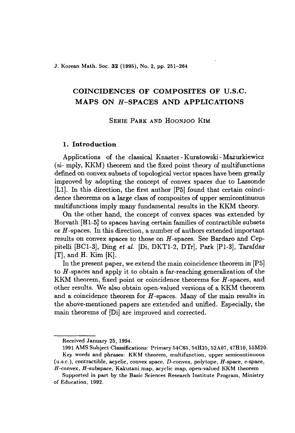J. Korean Math. Soc. 32 (1995), No. 2, pp. 251-264

# COINCIDENCES OF COMPOSITES OF V.S.C. MAPS ON H-SPACES AND APPLICATIONS

SEHIE PARK AND HOONJOO KIM

# 1. Introduction

Applications of the classical Knaster - Kuratowski - Mazurkiewicz (si- mply, KKM) theorem and the fixed point theory of multifunctions defined on convex subsets of topological vector spaces have been greatly improved by adopting the concept of convex spaces due to Lassonde [L1]. In this direction, the first author [P5] found that certain coincidence theorems on a large class of composites of upper semicontinuous multifunctions imply many fundamental results in the KKM theory.

On the other hand, the concept of convex spaces was extended by Horvath [HI-5J to spaces having certain families of contractible subsets or *H*-spaces. In this direction, a number of authors extended important results on convex spaces to those on *H*-spaces. See Bardaro and Ceppitelli [BC1-3], Ding *et al.* [Di, DKT1-2, DTr], Park [P1-3], Tarafdar [T], and H. Kim [KJ.

In the present paper, we extend the main coincidence theorem in [P5] to *H*-spaces and apply it to obtain a far-reaching generalization of the KKM theorem, fixed point or coincidence theorems for  $H$ -spaces, and other results. We also obtain open-valued versions of a KKM theorem and a coincidence theorem for *H*-spaces. Many of the main results in the above-mentioned papers are extended and unified. Especially, the main theorems of [DiJ are improved and corrected.

Received January 25, 1994.

<sup>1991</sup> AMS Subject Classifications: Primary 54C65, 54H25, 52A07, 47HI0, 55M20. Key words and phrases: *KKM* theorem, multifunction, upper semicontinuous (u.s.c.), contractible, acyclic, convex space, D-convex, polytope, H-space, c-space,

*H-convex, H-subspace,* Kakutani map, acyclic map, open-valued KKM theorem

Supported in part by the Basic Sciences Research Institute Program, Ministry of Education, 1992.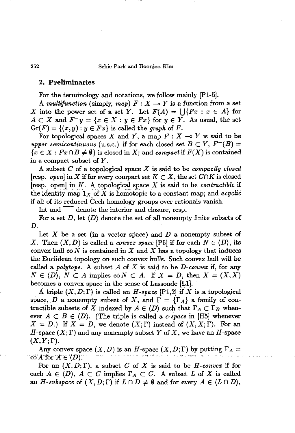# 2. Preliminaries

For the terminology and notations, we follow mainly [Pl-5J.

A *multifunction* (simply, *map*)  $F: X \rightarrow Y$  is a function from a set X into the power set of a set Y. Let  $F(A) = \bigcup \{Fx : x \in A\}$  for  $A \subset X$  and  $F^{-}y = \{x \in X : y \in Fx\}$  for  $y \in Y$ . As usual, the set  $Gr(F) = \{(x, y) : y \in Fx\}$  is called the *graph* of *F*.

For topological spaces X and Y, a map  $F : X \multimap Y$  is said to be *upper semicontinuous* (u.s.c.) if for each closed set  $B \subset Y$ ,  $F^{-}(B) =$  ${x \in X : Fx \cap B \neq \emptyset}$  is closed in *X*; and *compact* if  $F(X)$  is contained in a compact subset of *Y.*

A subset *C* of a topological space *X* is said to be *compactly closed* [resp. *open*] in X if for every compact set  $K \subset X$ , the set  $C \cap K$  is closed [resp. open] in *K.* A topological space *X* is said to be *contractible* if the identity map  $1_X$  of X is homotopic to a constant map; and *acyclic* if all of its reduced Cech homology groups over rationals vanish.

Int and  $\overline{\phantom{a}}$  denote the interior and closure, resp.

For a set  $D$ , let  $\langle D \rangle$  denote the set of all nonempty finite subsets of *D.*

Let *X* be a set (in a vector space) and *D* a nonempty subset of *X*. Then  $(X, D)$  is called a *convex space* [P5] if for each  $N \in \langle D \rangle$ , its convex hull co  $N$  is contained in  $X$  and  $X$  has a topology that induces the Euclidean topology on such convex hulls. Such convex hull will be called a *polytope.* A subset *A* of *X* is said to be *D-convex* if, for any  $N \in \{D\}$ ,  $N \subset A$  implies  $\text{co } N \subset A$ . If  $X = D$ , then  $X = (X, X)$ becomes a convex space in the sense of Lassonde [LIJ.

A triple  $(X, D; \Gamma)$  is called an *H-space* [P1,2] if X is a topological space, D a nonempty subset of X, and  $\Gamma = {\{\Gamma_A\}}$  a family of contractible subsets of X indexed by  $A \in \langle D \rangle$  such that  $\Gamma_A \subset \Gamma_B$  whenever  $A \subset B \in \langle D \rangle$ . (The triple is called a *c-space* in [H5] whenever  $X = D$ .) If  $X = D$ , we denote  $(X; \Gamma)$  instead of  $(X, X; \Gamma)$ . For an H-space  $(X; \Gamma)$  and any nonempty subset Y of X, we have an H-space  $(X,Y;\Gamma).$ 

Any convex space  $(X, D)$  is an H-space  $(X, D; \Gamma)$  by putting  $\Gamma_A =$ co A for  $A \in \langle D \rangle$ .

For an  $(X, D; \Gamma)$ , a subset C of X is said to be *H-convex* if for each  $A \in \langle D \rangle$ ,  $A \subset C$  implies  $\Gamma_A \subset C$ . A subset L of X is called an *H*-subspace of  $(X, D; \Gamma)$  if  $L \cap D \neq \emptyset$  and for every  $A \in (L \cap D)$ ,

252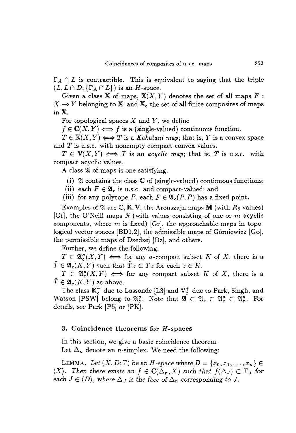$\Gamma_A \cap L$  is contractible. This is equivalent to saying that the triple  $(L, L \cap D; \{\Gamma_A \cap L\})$  is an *H*-space.

Given a class **X** of maps,  $X(X, Y)$  denotes the set of all maps  $F$ :  $X \rightarrow Y$  belonging to X, and  $X_c$  the set of all finite composites of maps in X.

For topological spaces  $X$  and  $Y$ , we define

 $f \in \mathbb{C}(X, Y) \Longleftrightarrow f$  is a (single-valued) continuous function.

 $T \in K(X, Y) \Longleftrightarrow T$  is a *Kakutani map*; that is, *Y* is a convex space and  $T$  is u.s.c. with nonempty compact convex values.

 $T \in V(X, Y) \iff T$  is an *acyclic map*; that is, *T* is u.s.c. with compact acyclic values.

A class  $\mathfrak A$  of maps is one satisfying:

(i)  $\mathfrak A$  contains the class  $\mathbb C$  of (single-valued) continuous functions;

(ii) each  $F \in \mathfrak{A}_c$  is u.s.c. and compact-valued; and

(iii) for any polytope P, each  $F \in \mathfrak{A}_{c}(P, P)$  has a fixed point.

Examples of  $\mathfrak A$  are  $\mathbb C, \mathbb K, V$ , the Aronszajn maps M (with  $R_\delta$  values)  $[Gr]$ , the O'Neill maps N (with values consisting of one or m acyclic components, where m is fixed) [Gr], the approachable maps in topological vector spaces  $[BD1,2]$ , the admissible maps of Górniewicz  $[Go]$ , the permissible maps of Dzedzej [Dz], and others.

Further, we define the following:

 $T \in \mathfrak{A}_{\alpha}^{\sigma}(X, Y) \iff$  for any  $\sigma$ -compact subset K of X, there is a  $\tilde{T} \in \mathfrak{A}_{c}(K, Y)$  such that  $\tilde{T}x \subset Tx$  for each  $x \in K$ .

 $T \in \mathfrak{A}_{\epsilon}^{\kappa}(X, Y) \iff$  for any compact subset K of X, there is a  $\tilde{T} \in \mathfrak{A}_{c}(K, Y)$  as above.

The class  $\mathbb{K}_c^+$  due to Lassonde [L3] and  $\mathbb{V}_c^+$  due to Park, Singh, and Watson [PSW] belong to  $\mathfrak{A}_{c}^{\sigma}$ . Note that  $\mathfrak{A} \subset \mathfrak{A}_{c} \subset \mathfrak{A}_{c}^{\sigma} \subset \mathfrak{A}_{c}^{\kappa}$ . For details, see Park  $[P5]$  or  $[PK]$ .

# 3. Coincidence theorems for  $H$ -spaces

In this section, we give a basic coincidence theorem. Let  $\Delta_n$  denote an *n*-simplex. We need the following:

**LEMMA.** Let  $(X, D; \Gamma)$  be an *H*-space where  $D = \{x_0, x_1, \ldots, x_n\} \in$ *(X).* Then there exists an  $f \in \mathbb{C}(\Delta_n, X)$  such that  $f(\Delta_J) \subset \Gamma_J$  for *each*  $J \in \langle D \rangle$ , where  $\Delta_J$  is the face of  $\Delta_n$  corresponding to J.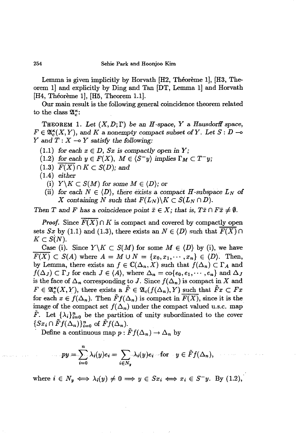Lemma is given implicitly by Horvath [H2, Théorème 1], [H3, Theorem 1] and explicitly by Ding and Tan [DT, Lemma I) and Horvath [H4, Theoreme 1], [H5, Theorem 1.1].

Our main result is the following general coincidence theorem related to the class  $\mathfrak{A}_{c}^{\kappa}$ :

THEOREM 1. Let  $(X, D; \Gamma)$  be an *H*-space, *Y* a *Hausdorff* space,  $F \in \mathfrak{A}_{c}^{\kappa}(X, Y)$ , and K a nonempty compact subset of Y. Let  $S: D \rightarrow$ *Y* and  $T: X \rightarrow Y$  *satisfy* the following:

- $(1.1)$  *for each*  $x \in D$ *, Sx is compactly open in Y;*
- $(1.2)$  *for each*  $y \in F(X)$ *,*  $M \in \langle S^-y \rangle$  *implies*  $\Gamma_M \subset T^-y$ *;*
- $(1.3)$   $F(X) \cap K \subset S(D)$ ; and
- (1.4) *either*

arrest control.

- (i)  $Y\backslash K\subset S(M)$  for some  $M\in \langle D\rangle$ ; or
- (ii) for each  $N \in \langle D \rangle$ , there exists a compact *H*-subspace  $L_N$  of X containing N such that  $F(L_N) \backslash K \subset S(L_N \cap D)$ .

*Then T* and *F* has a coincidence point  $\bar{x} \in X$ ; that is,  $T\bar{x} \cap F\bar{x} \neq \emptyset$ .

*Proof.* Since  $F(X) \cap K$  is compact and covered by compactly open sets *Sx* by (1.1) and (1.3), there exists an  $N \in \langle D \rangle$  such that  $\overline{F(X)} \cap$  $K\subset S(N).$ 

Case (i). Since  $Y\backslash K\subset S(M)$  for some  $M\in \langle D\rangle$  by (i), we have  $\overline{F(X)} \subset S(A)$  where  $A = M \cup N = \{x_0, x_1, \dots, x_n\} \in \langle D \rangle$ . Then, by Lemma, there exists an  $f \in \mathbb{C}(\Delta_n, X)$  such that  $f(\Delta_n) \subset \Gamma_A$  and  $f(\Delta_J) \subset \Gamma_J$  for each  $J \in \langle A \rangle$ , where  $\Delta_n = \text{co}\{e_0, e_1, \dots, e_n\}$  and  $\Delta_J$ is the face of  $\Delta_n$  corresponding to J. Since  $f(\Delta_n)$  is compact in X and  $F \in \mathfrak{A}_{c}^{\kappa}(X, Y)$ , there exists a  $\tilde{F} \in \mathfrak{A}_{c}(f(\Delta_{n}), Y)$  such that  $\tilde{F}x \subset Fx$ for each  $x \in f(\Delta_n)$ . Then  $\tilde{F}f(\Delta_n)$  is compact in  $\overline{F(X)}$ , since it is the image of the compact set  $f(\Delta_n)$  under the compact valued u.s.c. map  $\tilde{F}$ . Let  $\{\lambda_i\}_{i=0}^n$  be the partition of unity subordinated to the cover  $\{Sx_i \cap \tilde{F}f(\Delta_n)\}_{i=0}^n$  of  $\tilde{F}f(\Delta_n)$ .

Define a continuous map  $p : \tilde{F}f(\Delta_n) \to \Delta_n$  by

$$
py = \sum_{i=0}^{n} \lambda_i(y)e_i = \sum_{i \in N_y} \lambda_i(y)e_i
$$
 for  $y \in \tilde{F}f(\Delta_n),$ 

and the second complete the second second

where  $i \in N_y \iff \lambda_i(y) \neq 0 \implies y \in S_x$   $\iff x_i \in S^-y$ . By (1.2),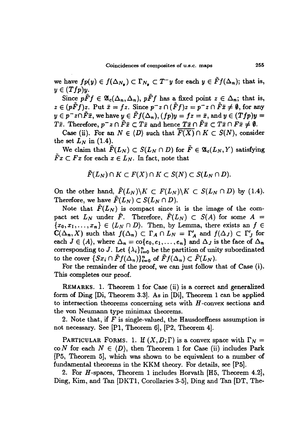we have  $fp(y) \in f(\Delta_{N_y}) \subset \Gamma_{N_y} \subset T^-y$  for each  $y \in \tilde{F}f(\Delta_n)$ ; that is,  $y \in (Tfp)y.$ 

Since  $p \tilde{F} f \in \mathfrak{A}_c(\Delta_n, \Delta_n)$ ,  $p \tilde{F} f$  has a fixed point  $z \in \Delta_n$ ; that is,  $z \in (p\tilde{F}f)z$ . Put  $\bar{x} = fz$ . Since  $p^-z \cap (\tilde{F}f)z = p^-z \cap \tilde{F}\bar{x} \neq \emptyset$ , for any  $y \in p^-z \cap \tilde{F}\bar{x}$ , we have  $y \in \tilde{F}f(\Delta_n)$ ,  $(fp)y = fz = \bar{x}$ , and  $y \in (Tfp)y =$ *Tx*. Therefore,  $p^{-}z \cap \tilde{F}\bar{x} \subset T\bar{x}$  and hence  $T\bar{x} \cap \tilde{F}\bar{x} \subset T\bar{x} \cap F\bar{x} \neq \emptyset$ .

Case (ii). For an  $N \in \langle D \rangle$  such that  $\overline{F(X)} \cap K \subset S(N)$ , consider the set  $L_N$  in (1.4).

We claim that  $\tilde{F}(L_N) \subset S(L_N \cap D)$  for  $\tilde{F} \in \mathfrak{A}_c(L_N, Y)$  satisfying  $Fx \subset Fx$  for each  $x \in L_N$ . In fact, note that

$$
\tilde{F}(L_N) \cap K \subset F(X) \cap K \subset S(N) \subset S(L_N \cap D).
$$

On the other hand,  $\tilde{F}(L_N)\backslash K \subset F(L_N)\backslash K \subset S(L_N\cap D)$  by (1.4). Therefore, we have  $\tilde{F}(L_N) \subset S(L_N \cap D)$ .

Note that  $\tilde{F}(L_N)$  is compact since it is the image of the compact set  $L_N$  under  $\tilde{F}$ . Therefore,  $\tilde{F}(L_N) \subset S(A)$  for some  $A =$  ${x_0, x_1, \ldots, x_n} \in (L_N \cap D)$ . Then, by Lemma, there exists an  $f \in$  $C(\Delta_n, X)$  such that  $f(\Delta_n) \subset \Gamma_A \cap L_N = \Gamma'_A$  and  $f(\Delta_J) \subset \Gamma'_J$  for each  $J \in \langle A \rangle$ , where  $\Delta_n = \text{co}\{e_0, e_1, \ldots, e_n\}$  and  $\Delta_J$  is the face of  $\Delta_n$ corresponding to J. Let  $\{\lambda_i\}_{i=0}^n$  be the partition of unity subordinated to the cover  $\{Sx_i \cap \tilde{F}f(\Delta_n)\}_{i=0}^n$  of  $\tilde{F}f(\Delta_n) \subset \tilde{F}(L_N)$ .

For the remainder of the proof, we can just follow that of Case (i). This completes our proof.

REMARKS. 1. Theorem 1 for Case (ii) is a correct and generalized form of Ding [Di, Theorem 3.3]. As in [Di], Theorem 1 can be applied to intersection theorems concerning sets with  $H$ -convex sections and the von Neumann type minimax theorems.

2. Note that, if  $F$  is single-valued, the Hausdorffness assumption is not necessary. See [P1, Theorem 6], [P2, Theorem 4].

PARTICULAR FORMS. 1. If  $(X, D; \Gamma)$  is a convex space with  $\Gamma_N =$  $\text{co } N$  for each  $N \in \langle D \rangle$ , then Theorem 1 for Case (ii) includes Park (P5, Theorem 5], which was shown to be equivalent to a number of fundamental theorems in the KKM theory. For details, see [P5].

2. For *H*-spaces, Theorem 1 includes Horvath  $[H5,$  Theorem 4.2], Ding, Kim, and Tan [DKT1, Corollaries 3-5], Ding and Tan [DT, The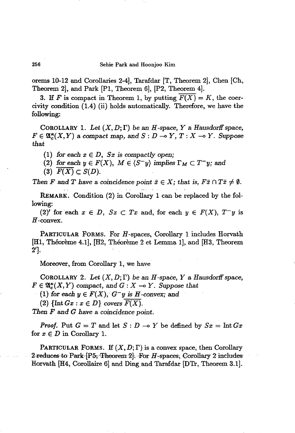orems 10-12 and Corollaries 2-4], Tarafdar [T, Theorem 2}, Chen [Ch, Theorem 2], and Park [PI, Theorem 6], [P2, Theorem 4].

3. If *F* is compact in Theorem 1, by putting  $\overline{F(X)} = K$ , the coercivity condition (1.4) (ii) holds automatically. Therefore, we have the following:

COROLLARY 1. Let  $(X, D; \Gamma)$  be an *H*-space, *Y* a *Hausdorff* space,  $F \in \mathfrak{A}_{\epsilon}^{\kappa}(X, Y)$  a *compact* map, and  $S : D \to Y$ ,  $T : X \to Y$ . Suppose *that*

(1) for each  $x \in D$ ,  $Sx$  is compactly open;

(2) for each  $y \in F(X)$ ,  $M \in \langle S-y \rangle$  implies  $\Gamma_M \subset T-y$ ; and

 $(F(X) \subset S(D)).$ 

*Then F* and *T* have a coincidence point  $\bar{x} \in X$ ; that is,  $F\bar{x} \cap T\bar{x} \neq \emptyset$ .

REMARK. Condition (2) in. Corollary 1 can be replaced by the following:

(2)' for each  $x \in D$ ,  $Sx \subset Tx$  and, for each  $y \in F(X)$ ,  $T-y$  is H-convex.

PARTICULAR FORMS. For H-spaces, Corollary 1 includes Horvath [Hl, Theoreme 4.1], [H2, Theoreme 2 et Lemma 1], and [H3, Theorem 2'J.

Moreover, from Corollary 1, we have

COROLLARY 2. Let  $(X, D; \Gamma)$  be an *H*-space, *Y* a *Hausdorff* space,  $F \in \mathfrak{A}_{\mathcal{C}}^{\kappa}(X, Y)$  compact, and  $G: X \to Y$ . Suppose that

(1) for each  $y \in F(X)$ ;  $G^-y$  is *H*-convex; and

(2)  $\{\text{Int }Gx : x \in D\}$  *covers*  $\overline{F(X)}$ .

*Then F* and *G have* a *coincidence* point.

*Proof.* Put  $G = T$  and let  $S: D \to Y$  be defined by  $Sx = \text{Int } Gx$ for  $x \in D$  in Corollary 1.

PARTICULAR FORMS. If  $(X, D; \Gamma)$  is a convex space, then Corollary 2 reduces to Park  $[P5,$  Theorem 2]. For H-spaces; Corollary 2 includes Horvath [H4, Corollaire 6] and Ding and Tarafdar [DTr, Theorem 3.1].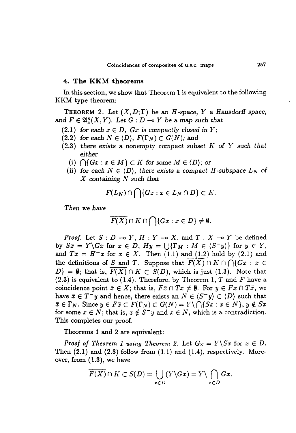# 4. The KKM theorems

In this section, we show that Theorem 1 is equivalent to the following KKM type theorem:

**THEOREM** 2. Let  $(X, D; \Gamma)$  be an *H*-space, *Y* a *Hausdorff* space, and  $F \in \mathfrak{A}_{\epsilon}^{\kappa}(X, Y)$ . Let  $G : D \multimap Y$  be a map such that

- (2.1) for each  $x \in D$ ,  $Gx$  is compactly closed in Y;
- (2.2) *for each*  $N \in \{D\}$ ,  $F(\Gamma_N) \subset G(N)$ ; and
- *(2.3) there exists* a nonempty compact *subset K of Y such that either*
	- (i)  $\bigcap \{Gx : x \in M\} \subset K$  for some  $M \in \langle D \rangle$ ; or
	- (ii) for each  $N \in \langle D \rangle$ , there exists a compact *H*-subspace  $L_N$  of *X* containing *N such that*

$$
F(L_N) \cap \bigcap \{Gx : x \in L_N \cap D\} \subset K.
$$

*Then we have*

$$
\overline{F(X)} \cap K \cap \bigcap \{Gx : x \in D\} \neq \emptyset.
$$

*Proof.* Let  $S: D \to Y$ ,  $H: Y \to X$ , and  $T: X \to Y$  be defined by  $Sx = Y\Gx$  for  $x \in D$ ,  $Hy = \bigcup{\{\Gamma_M : M \in \langle S^-y \rangle\}}$  for  $y \in Y$ , and  $Tx = H^{-}x$  for  $x \in X$ . Then (1.1) and (1.2) hold by (2.1) and the definitions of *S* and *T*. Suppose that  $\overline{F(X)} \cap K \cap \bigcap \{Gx : x \in$  $D$ } = 0; that is,  $\overline{F(X)} \cap K \subset S(D)$ , which is just (1.3). Note that  $(2.3)$  is equivalent to  $(1.4)$ . Therefore, by Theorem 1, T and F have a coincidence point  $\bar{x} \in X$ ; that is,  $F\bar{x} \cap T\bar{x} \neq \emptyset$ . For  $y \in F\bar{x} \cap T\bar{x}$ , we have  $\bar{x} \in T^- y$  and hence, there exists an  $N \in \langle S^- y \rangle \subset \langle D \rangle$  such that  $\bar{x} \in \Gamma_N$ . Since  $y \in F\bar{x} \subset F(\Gamma_N) \subset G(N) = Y \setminus \bigcap \{Sx : x \in N\}, y \notin Sx$ for some  $x \in N$ ; that is,  $x \notin S^- y$  and  $x \in N$ , which is a contradiction. This completes our proof.

Theorems 1 and 2 are equivalent:

*Proof of* Theorem 1 using Theorem 2. Let  $Gx = Y\$ Sx for  $x \in D$ . Then  $(2.1)$  and  $(2.3)$  follow from  $(1.1)$  and  $(1.4)$ , respectively. Moreover, from (1.3), we have

$$
\overline{F(X)} \cap K \subset S(D) = \bigcup_{x \in D} (Y \backslash Gx) = Y \backslash \bigcap_{x \in D} Gx,
$$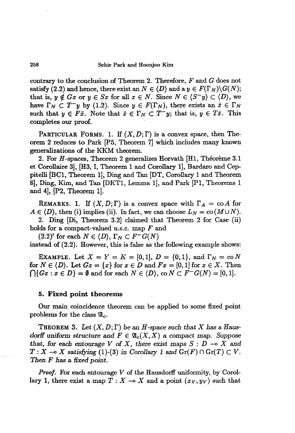contrary to the conclusion of Theorem 2. Therefore, *F* and G does not satisfy (2.2) and hence, there exist an  $N \in \langle D \rangle$  and a  $y \in F(\Gamma_N) \backslash G(N)$ ; that is,  $y \notin Gx$  or  $y \in Sx$  for all  $x \in N$ . Since  $N \in \langle S^{\dagger}y \rangle \subset \langle D \rangle$ , we have  $\Gamma_N \subset T^-y$  by (1.2). Since  $y \in F(\Gamma_N)$ , there exists an  $\bar{x} \in \Gamma_N$ such that  $y \in F\bar{x}$ . Note that  $\bar{x} \in \Gamma_N \subset T^-y$ ; that is,  $y \in T\bar{x}$ . This completes our proof.

PARTICULAR FORMS. 1. If  $(X, D; \Gamma)$  is a convex space, then Theorem 2 reduces to Park [P5, Theorem 7] which includes many known generalizations of the KKM theorem.

2. For H-spaces, Theorem 2 generalizes Horvath [H1, Théorème 3.1 et Corollaire 3], [B3, I, Theorem 1 and Corollary 11, Bardaro and Ceppitelli [BC1, Theorem 1], Ding and Tan [DT, Corollary 1 and Theorem SI, Ding, Kim, and Tan [DKT1, Lemma 11, and Park [P1, Theorems 1 and 4], [P2, Theorem 1].

REMARKS. 1. If  $(X, D; \Gamma)$  is a convex space with  $\Gamma_A = \text{co } A$  for  $A \in \langle D \rangle$ , then (i) implies (ii). In fact, we can choose  $L_N = \text{co}(M \cup N)$ .

2. Ding [Di, Theorem 3.2] claimed that Theorem 2 for Case (ii) holds for a compact-valued u.s.c. map *F* and

 $(2.2)'$  for each  $N \in \langle D \rangle$ ,  $\Gamma_N \subset F^-G(N)$ instead of (2.2). However, this is false as the following example shows:

EXAMPLE. Let  $X = Y = K = [0,1], D = \{0,1\}, \text{ and } \Gamma_N = \text{co } N$ for  $N \in \langle D \rangle$ . Let  $Gx = \{x\}$  for  $x \in D$  and  $Fx = [0,1]$  for  $x \in X$ . Then  $\bigcap \{Gx : x \in D\} = \emptyset$  and for each  $N \in \{D\}$ ,  $\text{co } N \subset F^{-}G(N) = [0,1].$ 

#### 5. Fixed point theorems

Our main coincidence theorem can be applied to some fixed point problems for the class  $\mathfrak{A}_c$ .

THEOREM 3. Let  $(X, D; \Gamma)$  be an *H*-space such that X has a Haus*dorff* uniform structure and  $F \in \mathfrak{A}_{c}(X, X)$  a compact map. Suppose *that,* for each entourage  $V$  of  $X$ , there exist maps  $S: D \to X$  and  $T : X \to X$  satisfying (1)-(3) in *Corollary* 1 and  $Gr(F) \cap Gr(T) \subset V$ .<br>Then *F* has a fixed point.

*Proof.* For each entourage V of the Hausdorff uniformity, by Corollary 1, there exist a map  $T : X \rightarrow X$  and a point  $(x_V, y_V)$  such that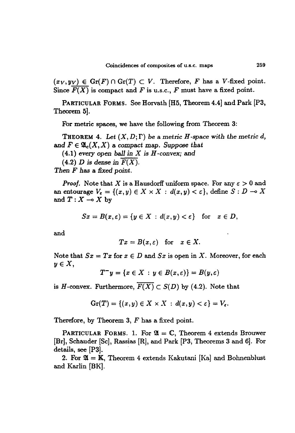$(x_V, y_V) \in \text{Gr}(F) \cap \text{Gr}(T) \subset V$ . Therefore, *F* has a *V*-fixed point. Since  $\overline{F(X)}$  is compact and *F* is u.s.c., *F* must have a fixed point.

PARTICULAR FORMS. See Horvath [H5, Theorem 4.4] and Park [P3, Theorem 5].

For metric spaces, we have the following from Theorem 3:

**THEOREM** 4. Let  $(X, D; \Gamma)$  be a metric *H*-space with the metric *d*, and  $F \in \mathfrak{A}_c(X,X)$  a compact map. Suppose that

(4.1) *every* open *ball in X is H -convex;* and

 $(4.2)$  *D* is dense in  $\overline{F(X)}$ .

*Then F has* a *fixed point.*

*Proof.* Note that X is a Hausdorff uniform space. For any  $\varepsilon > 0$  and an entourage  $V_{\varepsilon} = \{(x, y) \in X \times X : d(x, y) < \varepsilon\}$ , define  $S: D \to X$ and  $T: X \longrightarrow X$  by

 $Sx = B(x, \varepsilon) = \{y \in X : d(x, y) < \varepsilon\}$  for  $x \in D$ ,

and

$$
Tx = B(x, \varepsilon) \text{ for } x \in X.
$$

Note that  $Sx = Tx$  for  $x \in D$  and  $Sx$  is open in X. Moreover, for each *yEX,*

 $T^{-}y = \{x \in X : y \in B(x, \varepsilon)\} = B(y, \varepsilon)$ 

is *H*-convex. Furthermore,  $\overline{F(X)} \subset S(D)$  by (4.2). Note that

$$
\mathrm{Gr}(T)=\{(x,y)\in X\times X\;:\,d(x,y)<\varepsilon\}=V_{\varepsilon}.
$$

Therefore, by Theorem 3, *F* has a fixed point.

PARTICULAR FORMS. 1. For  $\mathfrak{A} = \mathbb{C}$ , Theorem 4 extends Brouwer [Br], Schauder [Se], Rassias [R], and Park [P3; Theorems 3 and 6]. For details, see [P3].

2. For  $\mathfrak{A} = \mathbb{K}$ , Theorem 4 extends Kakutani [Ka] and Bohnenblust and Karlin [BK].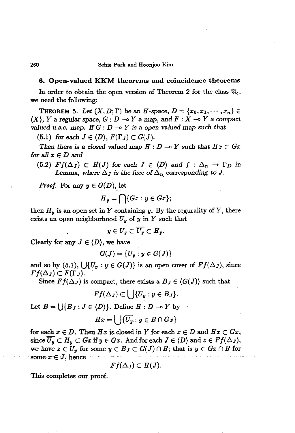260 Sehie Park and Hoonjoo Kim

#### 6. Open-valued KKM theorems and coincidence theorems

In order to obtain the open version of Theorem 2 for the class  $\mathfrak{A}_c$ , we need the following:

THEOREM 5. Let  $(X, D; \Gamma)$  be an *H*-space,  $D = \{x_0, x_1, \dots, x_n\} \in$  $(X)$ , Y a regular space,  $G: D \to Y$  a map, and  $F: X \to Y$  a compact *valued* u.s.c. map. If  $G: D \to Y$  is a open valued map such that

(5.1) for each  $J \in \langle D \rangle$ ,  $F(\Gamma_J) \subset G(J)$ .

*Then* there is a closed valued map  $H: D \to Y$  such that  $Hx \subset Gx$ for all  $x \in D$  and

 $(5.2)$   $Ff(\Delta_J) \subset H(J)$  for each  $J \in \langle D \rangle$  and  $f : \Delta_n \to \Gamma_D$  in Lemma, where  $\Delta_J$  is the face of  $\Delta_n$  corresponding to J.

*Proof.* For any  $y \in G(D)$ , let

$$
H_y = \bigcap \{Gx : y \in Gx\};
$$

then  $H_y$  is an open set in Y containing y. By the regurality of Y, there exists an open neighborhood  $U_y$  of  $y$  in  $Y$  such that

$$
y\in U_y\subset \overline{U_y}\subset H_y.
$$

Clearly for any  $J \in \langle D \rangle$ , we have

$$
G(J)=\{U_y:y\in G(J)\}
$$

and so by (5.1),  $\{[\{U_{y} : y \in G(J)\}]$  is an open cover of  $Ff(\Delta_J)$ , since  $Ff(\Delta_J) \subset F(\Gamma_J)$ .

Since  $Ff(\Delta_J)$  is compact, there exists a  $B_J \in \langle G(J) \rangle$  such that

$$
Ff(\Delta_J)\subset\bigcup\{U_y:y\in B_J\}.
$$

Let  $B = \{ | \{B_J : J \in \langle D \rangle \} \rangle$ . Define  $H : D \to Y$  by

$$
Hx=\bigcup\{\overline{U_y}:y\in B\cap Gx\}
$$

for each  $x \in D$ . Then  $Hx$  is closed in *Y* for each  $x \in D$  and  $Hx \subset Gx$ , since  $\overline{U_y} \subset H_y \subset Gx$  if  $y \in Gx$ . And for each  $J \in \langle D \rangle$  and  $z \in \overline{Ff(\Delta_J)}$ , we have  $z \in U_y$  for some  $y \in B_J \subset G(J) \cap B$ ; that is  $y \in G_x \cap B$  for some  $x \in J$ , hence

$$
Ff(\Delta_J)\subset H(J).
$$

This completes our proof.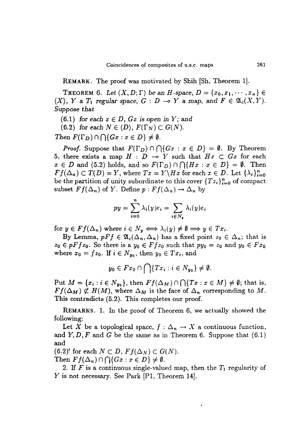REMARK. The proof was motivated by Shih [Sh, Theorem IJ.

THEOREM 6. Let  $(X, D; \Gamma)$  be an *H*-space,  $D = \{x_0, x_1, \dots, x_n\}$  $\langle X \rangle$ , Y a  $T_1$  *regular space*,  $G: D \multimap Y$  a map, and  $F \in \mathfrak{A}_c(X, Y)$ . *Suppose that*

 $(6.1)$  *for each*  $x \in D$ ,  $Gx$  *is open in Y; and* 

 $(6.2)$  *for each*  $N \in \langle D \rangle$ ,  $F(\Gamma_N) \subset G(N)$ .

*Then*  $F(\Gamma_D) \cap \bigcap \{Gx : x \in D\} \neq \emptyset$ .

*Proof.* Suppose that  $F(\Gamma_D) \cap \bigcap \{G_x : x \in D\} = \emptyset$ . By Theorem 5, there exists a map  $H : D \multimap Y$  such that  $Hx \subset Gx$  for each  $x \in D$  and (5.2) holds, and so  $F(\Gamma_D) \cap \bigcap \{Hx : x \in D\} = \emptyset$ . Then  $Ff(\Delta_n) \subset T(D) = Y$ , where  $Tx = Y\H x$  for each  $x \in D$ . Let  $\{\lambda_i\}_{i=0}^n$ be the partition of unity subordinate to this cover  ${Tz_i}_{i=0}^n$  of compact subset  $Ff(\Delta_n)$  of *Y*. Define  $p: Ff(\Delta_n) \to \Delta_n$  by

$$
py = \sum_{i=0}^{n} \lambda_i(y)e_i = \sum_{i \in N_y} \lambda_i(y)e_i
$$

for  $y \in Ff(\Delta_n)$  where  $i \in N_y \iff \lambda_i(y) \neq \emptyset \implies y \in Tx_i$ .

By Lemma,  $pFf \in \mathfrak{A}_c(\Delta_n, \Delta_n)$  has a fixed point  $z_0 \in \Delta_n$ ; that is  $z_0 \in pFf z_0$ . So there is a  $y_0 \in Ff z_0$  such that  $py_0 = z_0$  and  $y_0 \in Fx_0$ where  $x_0 = fz_0$ . If  $i \in N_{y_0}$ , then  $y_0 \in Tx_i$ , and

$$
y_0\in Fx_0\cap\bigcap\{Tx_i:i\in N_{y_0}\}\neq\emptyset.
$$

Put  $M = \{x_i : i \in N_{y_0}\},\$  then  $Ff(\Delta_M) \cap \bigcap \{Tx : x \in M\} \neq \emptyset$ ; that is,  $Ff(\Delta_M) \not\subset H(M)$ , where  $\Delta_M$  is the face of  $\Delta_n$  corresponding to M. This contradicts (5.2). This completes our proof.

REMARKS. 1. In the proof of Theorem 6, we actually showed the following:

Let X be a topological space,  $f : \Delta_n \to X$  a continuous function, and  $Y, D, F$  and G be the same as in Theorem 6. Suppose that  $(6.1)$ and

 $(6.2)'$  for each  $N \subset D$ ,  $Ff(\Delta_N) \subset G(N)$ .

 $\text{Then } Ff(\Delta_n) \cap \bigcap \{Gx : x \in D\} \neq \emptyset.$ 

2. If F is a continuous single-valued map, then the  $T_1$  regularity of Y is not necessary. See Park  $[P1, Theorem 14].$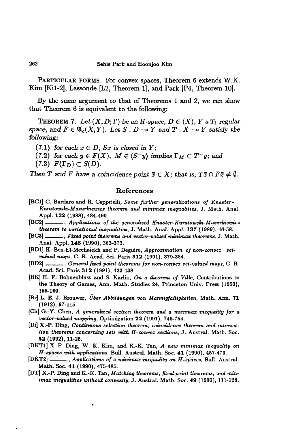PARTICULAR FORMS. For convex spaces, Theorem 6 extends W.K. Kim [Kil-2], Lassonde [L2, Theorem 1], and Park [P4, Theorem 10].

By the same argument to that of Theorems 1 and 2, we can show that Theorem 6 is equivalent to the following:

THEOREM 7. Let  $(X, D; \Gamma)$  be an *H*-space,  $D \in \langle X \rangle$ ,  $Y$  a  $T_1$  regular space, and  $F \in \mathfrak{A}_{c}(X, Y)$ . Let  $S: D \to Y$  and  $T: X \to Y$  satisfy the *following:*

(7.1) for each  $x \in D$ ,  $Sx$  is closed in  $Y$ ;

(7.2) for each  $y \in F(X)$ ,  $M \in \langle S^-y \rangle$  implies  $\Gamma_M \subset T^-y$ ; and

 $(7.3)$   $F(\Gamma_D) \subset S(D)$ .

*Then T* and *F* have a coincidence point  $\bar{x} \in X$ ; that is,  $T\bar{x} \cap F\bar{x} \neq \emptyset$ .

### References

- fBC1] c. Bardaro and R. Ceppitelli, *Some further generalizations of Knaster-Kuratowski-Mazurkiewicz theorem and minimax inequalities,* J. Math. Anal. Appl. 132 (1988), 484-490.
- [BC2] , *Applications of the generalized Knaster-Kuratowski-Mazurkiewicz theorem to variational inequalities,* J. Math. Anal. Appl. 137 (1989), 46-58.
- [BC3} , *Fized point theorems and vector-valued minimax theorems,* J. Math. Anal. Appl. 146 (1990), 363-373.
- [BD1] H. Ben-EI-Mechaiekh and P. Deguire, *Approximation of non-convex setvalued maps,* C. R. Acad. Sci. Paris 312 (1991), 379-384.
- [BD2} , *General fixed point theorems for non-convex set-valued maps,* C. R. Acad. Sci. Paris 312 (1991), 433-438.
- [BK] H. F. BOhnenblust and S. Karlin, On *a theorem of Ville,* Contributions to the Theory of Games, Ann. Math. Studies 24, Princeton Univ. Press (1950), 155-160.
- [Br} L. E. J. Brouwer, *Uber Abbildungen von Mannigfaltigkeiten,* Math. Ann. 71 (1912), 97-115.
- [Ch] G.-Y. Chen, *A generalized section theorem and a minimax inequality for a vector-valued mapping,* Optimization 22 (1991), 745-754.
- [Di} X.-P. Ding, *Continuous selection theorem, coincidence theorem and intersection theorems concerning sets with H -convex sections,* J. Austral. Math. Soc. 52 (1992), 11-25.
- [DKT1] X.-P. Ding, W. K. Kim, and K.-I<. Tan, *A new minimax inequality on H-spaces 'With applications,* Bull. Austral. Math. Soc. 41 (1990), 457-473.
- [DKT2] \_\_\_\_\_, Applications of a minimax inequality on H-spaces, Bull. Austral. Math. Soc. 41 (1990), 475-485.
- [DT] X.-P. Ding and K.-K. Tan, *Matching theorems, fixed point theorems, and minimax inequalities without convexity,* J. Austral. Math. Soc. 49 (1990), 111-128.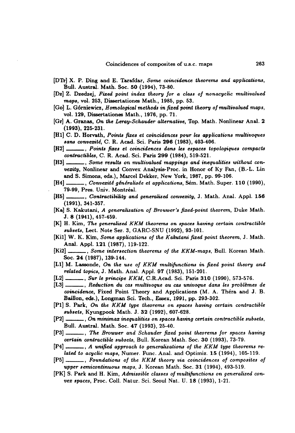- [DTr] X. P. Ding and E. Tarafdar, *Some coincidence theorems and applications,* Bull. Austral. Math. Soc. 50 (1994), 73-80.
- [Dz] Z. Dzedzej, *Fixed point inde:t theory for a class of nonacyclic multivalued maps,* vol. 253, Dissertationes Math., 1985, pp. 53.
- [Go] L. G6rniewicz, *Homological methods in fixed point theof'1/ of multivalued maps,* vol. 129, Dissertationes Math., 1976, pp. 71.
- [Gr] A. Granas, *On the Leray-Schauder alternative,* Top. Math. Nonlinear Anal. 2 (1993), 225-231.
- [HI] C. D. Horvath, *Points fixes et coincidences pour les applications multivoques sans convezite,* C. R. Acad. Sci. Paris 296 (1983), 403-406.
- [H2] , *Points fixes* et *coincidences dans les espaces topologiques compacts contractibles,* C. R. Acad. Sci. Paris 299 (1984), 519-521.
- [H3] , *Some results on multivalued mappings and inequalities without convexity*, Nonlinear and Convex Analysis-Proc. in Honor of Ky Fan, (B.-L. Lin and S. Simons, eds.), Marcel Dekker, New York, 1987, pp. 99-106.
- [H4] \_\_\_\_, *Convexité généralisée et applications*, Sém. Math. Super. 110 (1990), 79-99, Pres. Univ. Montreal.
- [H5] , *Contractibility and generalized convexity,* J. Math. Anal. Appl. 156 (1991), 341-357.
- [Ka] S. Kakutani, *A generalization of Brouwer's fixed-point theorem,* Duke Math. J.8 (1941),457-459.
- [K] H. Kim, *The generalized KKM theorems* on *spaces having certain contractible subsets,* Lect. Note Ser. 3, GARC-SNU (1992), 93-101.
- [Ki1] W. K. Kim, *Some applications of the Kakutani fixed point theorem,* J. Math. Anal. Appl. 121 (1987), 119-122.
- [Ki2] , *Some intersection theorems of the KKM-maps,* Bull. Korean Math. Soc. 24 (1987), 139-144.
- [L1] M. Lassonde, On the use of KKM multifunctions in fixed point theory and *related topics, J. Math. Anal. Appl. 97 (1983), 151-201.*
- [L2] , *Sur le principe KKM,* C.R.Acad. Sci. Paris 310 (1990), 573-576.
- [L3] , *Reduction* du *cas multivoque* au *cas univoque dans les problemes de coincidence,* Fixed Point Theory and Applications (M. A. Thera and J. B. Bai11on, eds.), Longman Sci. Tech., Essex, 1991, pp. 293-302.
- [PI] S. Park, *On the KKM type theorems on spaces having certain contractible subsets,* Kyungpook Math. J. 32 (1992), 607-628.
- [P2] , On *minima:t inequalities on spaces having certain contractible subsets,* Bull. Austral. Math. Soc. 47 (1993), 25-40.
- [P3] , *The Brouwer and Schauder fixed point theorems for spaces having certain contractible subsets,* Bull. Korean Math. Soc. 30 (1993), 73-79.
- [P4] , *A unified approach to generalizations of the KKM type theorems related to acyclic maps,* Numer. Func. Anal. and Optimiz. 15 (1994), 105-119.
- [P5] , *Foundations of the KKM theof'1/ via coincidences of composites of upper semicontinuous maps,* J. Korean Math. Soc. 31 (1994), 493-519.
- [PK] S. Park and H. Kim, *Admissible classes of multijunctions on generalized convex spaces,* Proc. ColI. Natur. Sci. Seoul Nat. U. 18 (1993), 1-21.